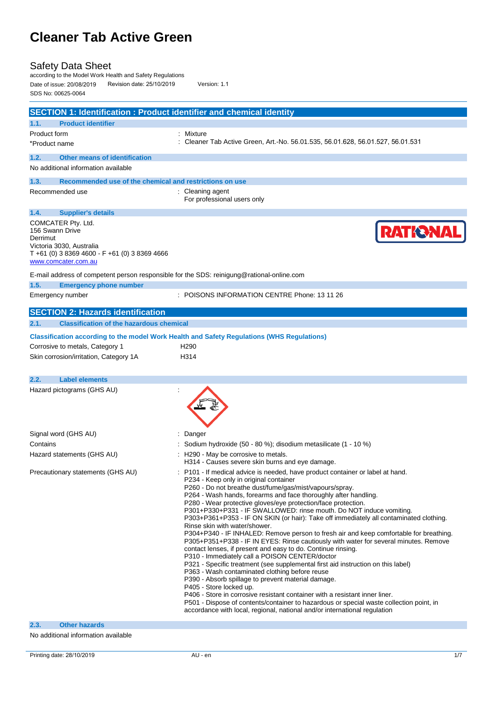### Safety Data Sheet

according to the Model Work Health and Safety Regulations Date of issue: 20/08/2019 Revision date: 25/10/2019 Version: 1.1 SDS No: 00625-0064

| <b>SECTION 1: Identification : Product identifier and chemical identity</b>                                                                              |                                                                                                                                                                                                                                                                                                                                                                                                                                                                                                                                                                                                                                                                                                                                                                                                                                                                                                                                                                                                                                                                                                                                                                                                                                                                                                           |
|----------------------------------------------------------------------------------------------------------------------------------------------------------|-----------------------------------------------------------------------------------------------------------------------------------------------------------------------------------------------------------------------------------------------------------------------------------------------------------------------------------------------------------------------------------------------------------------------------------------------------------------------------------------------------------------------------------------------------------------------------------------------------------------------------------------------------------------------------------------------------------------------------------------------------------------------------------------------------------------------------------------------------------------------------------------------------------------------------------------------------------------------------------------------------------------------------------------------------------------------------------------------------------------------------------------------------------------------------------------------------------------------------------------------------------------------------------------------------------|
| 1.1.<br><b>Product identifier</b>                                                                                                                        |                                                                                                                                                                                                                                                                                                                                                                                                                                                                                                                                                                                                                                                                                                                                                                                                                                                                                                                                                                                                                                                                                                                                                                                                                                                                                                           |
| Product form                                                                                                                                             | : Mixture                                                                                                                                                                                                                                                                                                                                                                                                                                                                                                                                                                                                                                                                                                                                                                                                                                                                                                                                                                                                                                                                                                                                                                                                                                                                                                 |
| *Product name                                                                                                                                            | Cleaner Tab Active Green, Art.-No. 56.01.535, 56.01.628, 56.01.527, 56.01.531                                                                                                                                                                                                                                                                                                                                                                                                                                                                                                                                                                                                                                                                                                                                                                                                                                                                                                                                                                                                                                                                                                                                                                                                                             |
| <b>Other means of identification</b><br>1.2.                                                                                                             |                                                                                                                                                                                                                                                                                                                                                                                                                                                                                                                                                                                                                                                                                                                                                                                                                                                                                                                                                                                                                                                                                                                                                                                                                                                                                                           |
| No additional information available                                                                                                                      |                                                                                                                                                                                                                                                                                                                                                                                                                                                                                                                                                                                                                                                                                                                                                                                                                                                                                                                                                                                                                                                                                                                                                                                                                                                                                                           |
| Recommended use of the chemical and restrictions on use<br>1.3.                                                                                          |                                                                                                                                                                                                                                                                                                                                                                                                                                                                                                                                                                                                                                                                                                                                                                                                                                                                                                                                                                                                                                                                                                                                                                                                                                                                                                           |
| Recommended use                                                                                                                                          | : Cleaning agent<br>For professional users only                                                                                                                                                                                                                                                                                                                                                                                                                                                                                                                                                                                                                                                                                                                                                                                                                                                                                                                                                                                                                                                                                                                                                                                                                                                           |
| 1.4.<br><b>Supplier's details</b>                                                                                                                        |                                                                                                                                                                                                                                                                                                                                                                                                                                                                                                                                                                                                                                                                                                                                                                                                                                                                                                                                                                                                                                                                                                                                                                                                                                                                                                           |
| COMCATER Pty. Ltd.<br>156 Swann Drive<br>Derrimut<br>Victoria 3030, Australia<br>$T + 61$ (0) 3 8369 4600 - F +61 (0) 3 8369 4666<br>www.comcater.com.au | <b>RATIONAL</b>                                                                                                                                                                                                                                                                                                                                                                                                                                                                                                                                                                                                                                                                                                                                                                                                                                                                                                                                                                                                                                                                                                                                                                                                                                                                                           |
| E-mail address of competent person responsible for the SDS: reinigung@rational-online.com                                                                |                                                                                                                                                                                                                                                                                                                                                                                                                                                                                                                                                                                                                                                                                                                                                                                                                                                                                                                                                                                                                                                                                                                                                                                                                                                                                                           |
| 1.5.<br><b>Emergency phone number</b>                                                                                                                    |                                                                                                                                                                                                                                                                                                                                                                                                                                                                                                                                                                                                                                                                                                                                                                                                                                                                                                                                                                                                                                                                                                                                                                                                                                                                                                           |
| Emergency number                                                                                                                                         | : POISONS INFORMATION CENTRE Phone: 13 11 26                                                                                                                                                                                                                                                                                                                                                                                                                                                                                                                                                                                                                                                                                                                                                                                                                                                                                                                                                                                                                                                                                                                                                                                                                                                              |
| <b>SECTION 2: Hazards identification</b>                                                                                                                 |                                                                                                                                                                                                                                                                                                                                                                                                                                                                                                                                                                                                                                                                                                                                                                                                                                                                                                                                                                                                                                                                                                                                                                                                                                                                                                           |
| <b>Classification of the hazardous chemical</b><br>2.1.                                                                                                  |                                                                                                                                                                                                                                                                                                                                                                                                                                                                                                                                                                                                                                                                                                                                                                                                                                                                                                                                                                                                                                                                                                                                                                                                                                                                                                           |
| Corrosive to metals, Category 1<br>Skin corrosion/irritation, Category 1A                                                                                | <b>Classification according to the model Work Health and Safety Regulations (WHS Regulations)</b><br>H <sub>290</sub><br>H314                                                                                                                                                                                                                                                                                                                                                                                                                                                                                                                                                                                                                                                                                                                                                                                                                                                                                                                                                                                                                                                                                                                                                                             |
| 2.2.<br><b>Label elements</b>                                                                                                                            |                                                                                                                                                                                                                                                                                                                                                                                                                                                                                                                                                                                                                                                                                                                                                                                                                                                                                                                                                                                                                                                                                                                                                                                                                                                                                                           |
| Hazard pictograms (GHS AU)                                                                                                                               |                                                                                                                                                                                                                                                                                                                                                                                                                                                                                                                                                                                                                                                                                                                                                                                                                                                                                                                                                                                                                                                                                                                                                                                                                                                                                                           |
| Signal word (GHS AU)                                                                                                                                     | Danger                                                                                                                                                                                                                                                                                                                                                                                                                                                                                                                                                                                                                                                                                                                                                                                                                                                                                                                                                                                                                                                                                                                                                                                                                                                                                                    |
| Contains                                                                                                                                                 | Sodium hydroxide (50 - 80 %); disodium metasilicate (1 - 10 %)                                                                                                                                                                                                                                                                                                                                                                                                                                                                                                                                                                                                                                                                                                                                                                                                                                                                                                                                                                                                                                                                                                                                                                                                                                            |
| Hazard statements (GHS AU)                                                                                                                               | H290 - May be corrosive to metals.<br>H314 - Causes severe skin burns and eye damage.                                                                                                                                                                                                                                                                                                                                                                                                                                                                                                                                                                                                                                                                                                                                                                                                                                                                                                                                                                                                                                                                                                                                                                                                                     |
| Precautionary statements (GHS AU)                                                                                                                        | P101 - If medical advice is needed, have product container or label at hand.<br>P234 - Keep only in original container<br>P260 - Do not breathe dust/fume/gas/mist/vapours/spray.<br>P264 - Wash hands, forearms and face thoroughly after handling.<br>P280 - Wear protective gloves/eye protection/face protection.<br>P301+P330+P331 - IF SWALLOWED: rinse mouth. Do NOT induce vomiting.<br>P303+P361+P353 - IF ON SKIN (or hair): Take off immediately all contaminated clothing.<br>Rinse skin with water/shower.<br>P304+P340 - IF INHALED: Remove person to fresh air and keep comfortable for breathing.<br>P305+P351+P338 - IF IN EYES: Rinse cautiously with water for several minutes. Remove<br>contact lenses, if present and easy to do. Continue rinsing.<br>P310 - Immediately call a POISON CENTER/doctor<br>P321 - Specific treatment (see supplemental first aid instruction on this label)<br>P363 - Wash contaminated clothing before reuse<br>P390 - Absorb spillage to prevent material damage.<br>P405 - Store locked up.<br>P406 - Store in corrosive resistant container with a resistant inner liner.<br>P501 - Dispose of contents/container to hazardous or special waste collection point, in<br>accordance with local, regional, national and/or international regulation |
| <b>Other hazards</b><br>2.3.                                                                                                                             |                                                                                                                                                                                                                                                                                                                                                                                                                                                                                                                                                                                                                                                                                                                                                                                                                                                                                                                                                                                                                                                                                                                                                                                                                                                                                                           |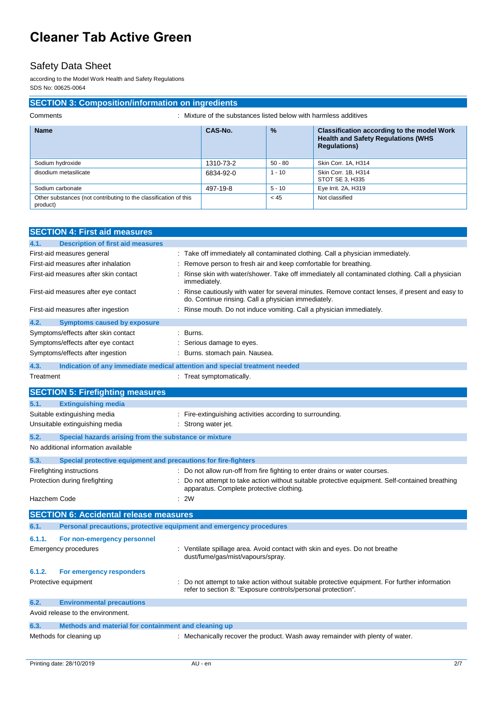### Safety Data Sheet

according to the Model Work Health and Safety Regulations SDS No: 00625-0064

### **SECTION 3: Composition/information on ingredients**

| Mixture of the substances listed below with harmless additives<br>Comments |  |
|----------------------------------------------------------------------------|--|
|----------------------------------------------------------------------------|--|

| <b>Name</b>                                                                  | CAS-No.   | $\frac{9}{6}$ | <b>Classification according to the model Work</b><br><b>Health and Safety Regulations (WHS)</b><br><b>Regulations)</b> |
|------------------------------------------------------------------------------|-----------|---------------|------------------------------------------------------------------------------------------------------------------------|
| Sodium hydroxide                                                             | 1310-73-2 | $50 - 80$     | Skin Corr. 1A. H314                                                                                                    |
| disodium metasilicate                                                        | 6834-92-0 | $1 - 10$      | Skin Corr. 1B. H314<br>STOT SE 3, H335                                                                                 |
| Sodium carbonate                                                             | 497-19-8  | $5 - 10$      | Eye Irrit. 2A, H319                                                                                                    |
| Other substances (not contributing to the classification of this<br>product) |           | < 45          | Not classified                                                                                                         |

| <b>SECTION 4: First aid measures</b>                                        |                                                                                                                                                              |
|-----------------------------------------------------------------------------|--------------------------------------------------------------------------------------------------------------------------------------------------------------|
| 4.1.<br><b>Description of first aid measures</b>                            |                                                                                                                                                              |
| First-aid measures general                                                  | : Take off immediately all contaminated clothing. Call a physician immediately.                                                                              |
| First-aid measures after inhalation                                         | Remove person to fresh air and keep comfortable for breathing.                                                                                               |
| First-aid measures after skin contact                                       | Rinse skin with water/shower. Take off immediately all contaminated clothing. Call a physician<br>immediately.                                               |
| First-aid measures after eye contact                                        | Rinse cautiously with water for several minutes. Remove contact lenses, if present and easy to<br>do. Continue rinsing. Call a physician immediately.        |
| First-aid measures after ingestion                                          | : Rinse mouth. Do not induce vomiting. Call a physician immediately.                                                                                         |
| 4.2.<br><b>Symptoms caused by exposure</b>                                  |                                                                                                                                                              |
| Symptoms/effects after skin contact                                         | : Burns.                                                                                                                                                     |
| Symptoms/effects after eye contact                                          | Serious damage to eyes.                                                                                                                                      |
| Symptoms/effects after ingestion                                            | Burns. stomach pain. Nausea.                                                                                                                                 |
| 4.3.                                                                        | Indication of any immediate medical attention and special treatment needed                                                                                   |
| Treatment                                                                   | : Treat symptomatically.                                                                                                                                     |
| <b>SECTION 5: Firefighting measures</b>                                     |                                                                                                                                                              |
| <b>Extinguishing media</b><br>5.1.                                          |                                                                                                                                                              |
| Suitable extinguishing media                                                | : Fire-extinguishing activities according to surrounding.                                                                                                    |
| Unsuitable extinguishing media                                              | Strong water jet.                                                                                                                                            |
| 5.2.<br>Special hazards arising from the substance or mixture               |                                                                                                                                                              |
| No additional information available                                         |                                                                                                                                                              |
| 5.3.<br>Special protective equipment and precautions for fire-fighters      |                                                                                                                                                              |
| Firefighting instructions                                                   | Do not allow run-off from fire fighting to enter drains or water courses.                                                                                    |
| Protection during firefighting                                              | : Do not attempt to take action without suitable protective equipment. Self-contained breathing<br>apparatus. Complete protective clothing.                  |
| Hazchem Code                                                                | : 2W                                                                                                                                                         |
| <b>SECTION 6: Accidental release measures</b>                               |                                                                                                                                                              |
| Personal precautions, protective equipment and emergency procedures<br>6.1. |                                                                                                                                                              |
| 6.1.1.<br>For non-emergency personnel                                       |                                                                                                                                                              |
| <b>Emergency procedures</b>                                                 | : Ventilate spillage area. Avoid contact with skin and eyes. Do not breathe<br>dust/fume/gas/mist/vapours/spray.                                             |
| 6.1.2.<br>For emergency responders                                          |                                                                                                                                                              |
| Protective equipment                                                        | Do not attempt to take action without suitable protective equipment. For further information<br>refer to section 8: "Exposure controls/personal protection". |
| 6.2.<br><b>Environmental precautions</b>                                    |                                                                                                                                                              |
| Avoid release to the environment.                                           |                                                                                                                                                              |
| Methods and material for containment and cleaning up<br>6.3.                |                                                                                                                                                              |
| Methods for cleaning up                                                     | : Mechanically recover the product. Wash away remainder with plenty of water.                                                                                |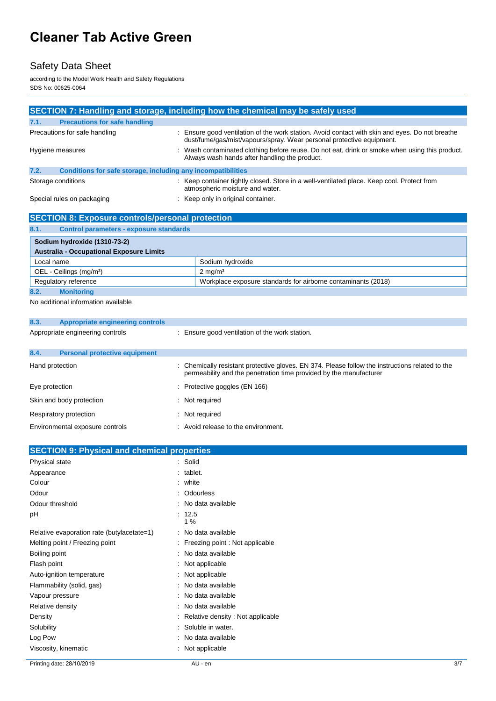## Safety Data Sheet

according to the Model Work Health and Safety Regulations SDS No: 00625-0064

|                                                                      | SECTION 7: Handling and storage, including how the chemical may be safely used                                                                                           |
|----------------------------------------------------------------------|--------------------------------------------------------------------------------------------------------------------------------------------------------------------------|
| 7.1.<br><b>Precautions for safe handling</b>                         |                                                                                                                                                                          |
| Precautions for safe handling                                        | : Ensure good ventilation of the work station. Avoid contact with skin and eyes. Do not breathe<br>dust/fume/gas/mist/vapours/spray. Wear personal protective equipment. |
| Hygiene measures                                                     | : Wash contaminated clothing before reuse. Do not eat, drink or smoke when using this product.<br>Always wash hands after handling the product.                          |
| 7.2.<br>Conditions for safe storage, including any incompatibilities |                                                                                                                                                                          |
| Storage conditions                                                   | : Keep container tightly closed. Store in a well-ventilated place. Keep cool. Protect from<br>atmospheric moisture and water.                                            |
| Special rules on packaging                                           | : Keep only in original container.                                                                                                                                       |

| <b>SECTION 8: Exposure controls/personal protection</b> |                                                               |  |
|---------------------------------------------------------|---------------------------------------------------------------|--|
| 8.1.<br><b>Control parameters - exposure standards</b>  |                                                               |  |
| Sodium hydroxide (1310-73-2)                            |                                                               |  |
| <b>Australia - Occupational Exposure Limits</b>         |                                                               |  |
| Local name                                              | Sodium hydroxide                                              |  |
| OEL - Ceilings (mg/m <sup>3</sup> )                     | $2 \text{ mg/m}^3$                                            |  |
| Regulatory reference                                    | Workplace exposure standards for airborne contaminants (2018) |  |
| 8.2.<br><b>Monitoring</b>                               |                                                               |  |

No additional information available

| 8.3.            | <b>Appropriate engineering controls</b> |                                                                                                                                                                       |
|-----------------|-----------------------------------------|-----------------------------------------------------------------------------------------------------------------------------------------------------------------------|
|                 | Appropriate engineering controls        | : Ensure good ventilation of the work station.                                                                                                                        |
| 8.4.            | <b>Personal protective equipment</b>    |                                                                                                                                                                       |
| Hand protection |                                         | : Chemically resistant protective gloves. EN 374. Please follow the instructions related to the<br>permeability and the penetration time provided by the manufacturer |
| Eye protection  |                                         | $\therefore$ Protective goggles (EN 166)                                                                                                                              |
|                 | Skin and body protection                | : Not required                                                                                                                                                        |
|                 | Respiratory protection                  | Not required                                                                                                                                                          |
|                 | Environmental exposure controls         | : Avoid release to the environment.                                                                                                                                   |
|                 |                                         |                                                                                                                                                                       |

| <b>SECTION 9: Physical and chemical properties</b> |                                     |     |
|----------------------------------------------------|-------------------------------------|-----|
| Physical state                                     | : Solid                             |     |
| Appearance                                         | $:$ tablet.                         |     |
| Colour                                             | : white                             |     |
| Odour                                              | : Odourless                         |     |
| Odour threshold                                    | : No data available                 |     |
| pH                                                 | : 12.5<br>1%                        |     |
| Relative evaporation rate (butylacetate=1)         | : No data available                 |     |
| Melting point / Freezing point                     | : Freezing point : Not applicable   |     |
| Boiling point                                      | : No data available                 |     |
| Flash point                                        | : Not applicable                    |     |
| Auto-ignition temperature                          | : Not applicable                    |     |
| Flammability (solid, gas)                          | : No data available                 |     |
| Vapour pressure                                    | : No data available                 |     |
| Relative density                                   | : No data available                 |     |
| Density                                            | : Relative density : Not applicable |     |
| Solubility                                         | : Soluble in water.                 |     |
| Log Pow                                            | : No data available                 |     |
| Viscosity, kinematic                               | : Not applicable                    |     |
| Printing date: 28/10/2019                          | AU - en                             | 3/7 |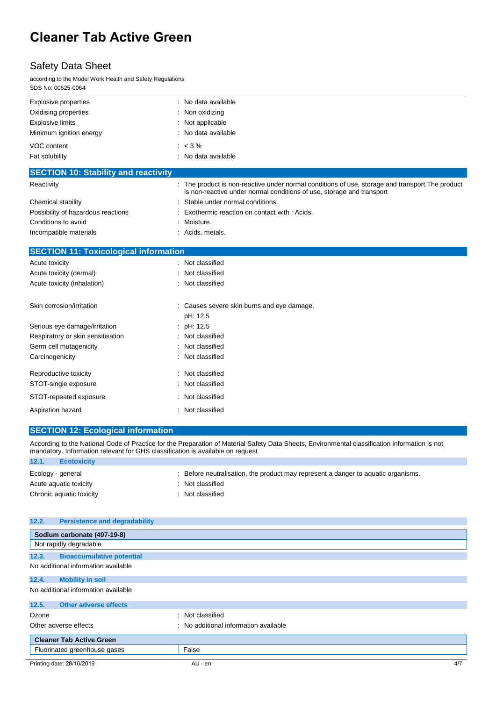### Safety Data Sheet

according to the Model Work Health and Safety Regulations SDS No: 00625-0064

| <b>Explosive properties</b>                  | No data available                                                                                                                                                         |
|----------------------------------------------|---------------------------------------------------------------------------------------------------------------------------------------------------------------------------|
| Oxidising properties                         | Non oxidizing                                                                                                                                                             |
| <b>Explosive limits</b>                      | Not applicable                                                                                                                                                            |
| Minimum ignition energy                      | No data available                                                                                                                                                         |
| VOC content                                  | $: < 3\%$                                                                                                                                                                 |
| Fat solubility                               | No data available                                                                                                                                                         |
| <b>SECTION 10: Stability and reactivity</b>  |                                                                                                                                                                           |
| Reactivity                                   | : The product is non-reactive under normal conditions of use, storage and transport. The product<br>is non-reactive under normal conditions of use, storage and transport |
| Chemical stability                           | Stable under normal conditions.                                                                                                                                           |
| Possibility of hazardous reactions           | Exothermic reaction on contact with: Acids.                                                                                                                               |
| Conditions to avoid                          | Moisture.                                                                                                                                                                 |
| Incompatible materials                       | Acids. metals.                                                                                                                                                            |
| <b>SECTION 11: Toxicological information</b> |                                                                                                                                                                           |
| Acute toxicity                               | Not classified                                                                                                                                                            |
| Acute toxicity (dermal)                      | Not classified                                                                                                                                                            |
| Acute toxicity (inhalation)                  | Not classified                                                                                                                                                            |
| Skin corrosion/irritation                    | Causes severe skin burns and eye damage.<br>pH: 12.5                                                                                                                      |
| Serious eye damage/irritation                | pH: 12.5                                                                                                                                                                  |
| Respiratory or skin sensitisation            | Not classified                                                                                                                                                            |
| Germ cell mutagenicity                       | Not classified                                                                                                                                                            |
| Carcinogenicity                              | Not classified                                                                                                                                                            |
| Reproductive toxicity                        | Not classified                                                                                                                                                            |
| STOT-single exposure                         | Not classified                                                                                                                                                            |
| STOT-repeated exposure                       | Not classified                                                                                                                                                            |
| Aspiration hazard                            | Not classified                                                                                                                                                            |

#### **SECTION 12: Ecological information**

According to the National Code of Practice for the Preparation of Material Safety Data Sheets, Environmental classification information is not mandatory. Information relevant for GHS classification is available on request **12.1. Ecotoxicity**

| _______<br>__________________ |                                                                                   |
|-------------------------------|-----------------------------------------------------------------------------------|
| Ecology - general             | : Before neutralisation, the product may represent a danger to aquatic organisms. |
| Acute aquatic toxicity        | : Not classified                                                                  |
| Chronic aquatic toxicity      | : Not classified                                                                  |

| 12.2. | <b>Persistence and degradability</b> |                                       |     |
|-------|--------------------------------------|---------------------------------------|-----|
|       | Sodium carbonate (497-19-8)          |                                       |     |
|       | Not rapidly degradable               |                                       |     |
| 12.3. | <b>Bioaccumulative potential</b>     |                                       |     |
|       | No additional information available  |                                       |     |
| 12.4. | <b>Mobility in soil</b>              |                                       |     |
|       | No additional information available  |                                       |     |
| 12.5. | <b>Other adverse effects</b>         |                                       |     |
| Ozone |                                      | : Not classified                      |     |
|       | Other adverse effects                | : No additional information available |     |
|       | <b>Cleaner Tab Active Green</b>      |                                       |     |
|       | Fluorinated greenhouse gases         | False                                 |     |
|       | Printing date: 28/10/2019            | AU - en                               | 4/7 |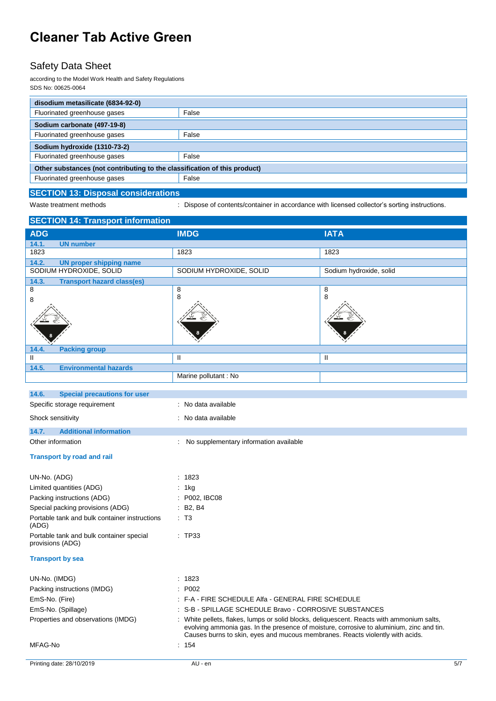## Safety Data Sheet

according to the Model Work Health and Safety Regulations SDS No: 00625-0064

| disodium metasilicate (6834-92-0)                                         |  |  |
|---------------------------------------------------------------------------|--|--|
| False                                                                     |  |  |
| Sodium carbonate (497-19-8)                                               |  |  |
| False                                                                     |  |  |
| Sodium hydroxide (1310-73-2)                                              |  |  |
| False                                                                     |  |  |
| Other substances (not contributing to the classification of this product) |  |  |
| False                                                                     |  |  |
|                                                                           |  |  |

#### **SECTION 13: Disposal considerations**

Waste treatment methods : Dispose of contents/container in accordance with licensed collector's sorting instructions.

| <b>SECTION 14: Transport information</b>                     |                                                                                                                                                                                                                                                                        |                         |     |
|--------------------------------------------------------------|------------------------------------------------------------------------------------------------------------------------------------------------------------------------------------------------------------------------------------------------------------------------|-------------------------|-----|
| <b>ADG</b>                                                   | <b>IMDG</b>                                                                                                                                                                                                                                                            | <b>IATA</b>             |     |
| 14.1.<br><b>UN number</b>                                    |                                                                                                                                                                                                                                                                        |                         |     |
| 1823                                                         | 1823                                                                                                                                                                                                                                                                   | 1823                    |     |
| 14.2.<br><b>UN proper shipping name</b>                      |                                                                                                                                                                                                                                                                        |                         |     |
| SODIUM HYDROXIDE, SOLID                                      | SODIUM HYDROXIDE, SOLID                                                                                                                                                                                                                                                | Sodium hydroxide, solid |     |
| 14.3.<br><b>Transport hazard class(es)</b><br>8              |                                                                                                                                                                                                                                                                        |                         |     |
| 8                                                            | 8<br>8                                                                                                                                                                                                                                                                 | 8<br>8                  |     |
|                                                              |                                                                                                                                                                                                                                                                        |                         |     |
|                                                              |                                                                                                                                                                                                                                                                        |                         |     |
|                                                              |                                                                                                                                                                                                                                                                        |                         |     |
|                                                              |                                                                                                                                                                                                                                                                        |                         |     |
| <b>Packing group</b><br>14.4.                                |                                                                                                                                                                                                                                                                        |                         |     |
| Ш                                                            | Ш                                                                                                                                                                                                                                                                      | Ш                       |     |
| 14.5.<br><b>Environmental hazards</b>                        |                                                                                                                                                                                                                                                                        |                         |     |
|                                                              | Marine pollutant : No                                                                                                                                                                                                                                                  |                         |     |
| 14.6.<br><b>Special precautions for user</b>                 |                                                                                                                                                                                                                                                                        |                         |     |
| Specific storage requirement                                 | : No data available                                                                                                                                                                                                                                                    |                         |     |
|                                                              |                                                                                                                                                                                                                                                                        |                         |     |
| Shock sensitivity                                            | : No data available                                                                                                                                                                                                                                                    |                         |     |
| 14.7.<br><b>Additional information</b>                       |                                                                                                                                                                                                                                                                        |                         |     |
| Other information                                            | : No supplementary information available                                                                                                                                                                                                                               |                         |     |
| <b>Transport by road and rail</b>                            |                                                                                                                                                                                                                                                                        |                         |     |
| UN-No. (ADG)                                                 | : 1823                                                                                                                                                                                                                                                                 |                         |     |
| Limited quantities (ADG)                                     | 1kg                                                                                                                                                                                                                                                                    |                         |     |
| Packing instructions (ADG)                                   | P002, IBC08                                                                                                                                                                                                                                                            |                         |     |
| Special packing provisions (ADG)                             | B <sub>2</sub> , B <sub>4</sub>                                                                                                                                                                                                                                        |                         |     |
| Portable tank and bulk container instructions<br>(ADG)       | $\cdot$ T <sub>3</sub>                                                                                                                                                                                                                                                 |                         |     |
| Portable tank and bulk container special<br>provisions (ADG) | : TP33                                                                                                                                                                                                                                                                 |                         |     |
| <b>Transport by sea</b>                                      |                                                                                                                                                                                                                                                                        |                         |     |
| UN-No. (IMDG)                                                | : 1823                                                                                                                                                                                                                                                                 |                         |     |
| Packing instructions (IMDG)                                  | : P002                                                                                                                                                                                                                                                                 |                         |     |
| EmS-No. (Fire)                                               | : F-A - FIRE SCHEDULE Alfa - GENERAL FIRE SCHEDULE                                                                                                                                                                                                                     |                         |     |
| EmS-No. (Spillage)                                           | S-B - SPILLAGE SCHEDULE Bravo - CORROSIVE SUBSTANCES                                                                                                                                                                                                                   |                         |     |
| Properties and observations (IMDG)                           | : White pellets, flakes, lumps or solid blocks, deliquescent. Reacts with ammonium salts,<br>evolving ammonia gas. In the presence of moisture, corrosive to aluminium, zinc and tin.<br>Causes burns to skin, eyes and mucous membranes. Reacts violently with acids. |                         |     |
| MFAG-No                                                      | : 154                                                                                                                                                                                                                                                                  |                         |     |
| Printing date: 28/10/2019                                    | AU - en                                                                                                                                                                                                                                                                |                         | 5/7 |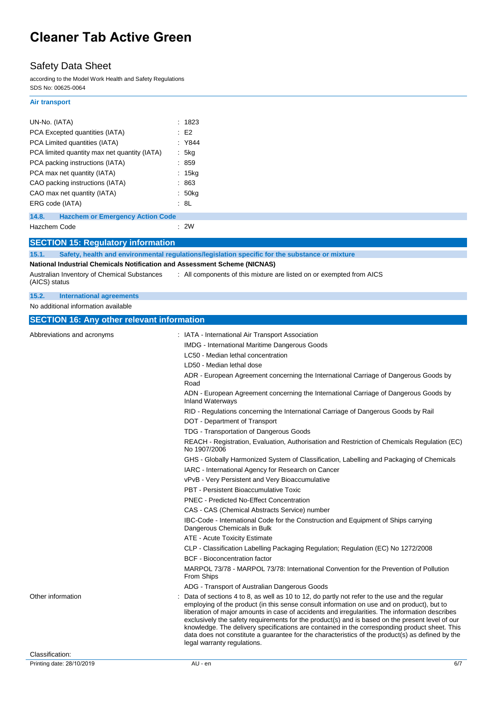## Safety Data Sheet

according to the Model Work Health and Safety Regulations SDS No: 00625-0064

#### **Air transport**

| UN-No. (IATA)                                                             | : 1823                                                                                                                                                                                                                                                                                                                                                                                                                                                                                                                                                                                                                              |
|---------------------------------------------------------------------------|-------------------------------------------------------------------------------------------------------------------------------------------------------------------------------------------------------------------------------------------------------------------------------------------------------------------------------------------------------------------------------------------------------------------------------------------------------------------------------------------------------------------------------------------------------------------------------------------------------------------------------------|
| PCA Excepted quantities (IATA)                                            | E2                                                                                                                                                                                                                                                                                                                                                                                                                                                                                                                                                                                                                                  |
| PCA Limited quantities (IATA)                                             | : Y844                                                                                                                                                                                                                                                                                                                                                                                                                                                                                                                                                                                                                              |
| PCA limited quantity max net quantity (IATA)                              | : 5kg                                                                                                                                                                                                                                                                                                                                                                                                                                                                                                                                                                                                                               |
| PCA packing instructions (IATA)                                           | : 859                                                                                                                                                                                                                                                                                                                                                                                                                                                                                                                                                                                                                               |
| PCA max net quantity (IATA)                                               | : 15kg                                                                                                                                                                                                                                                                                                                                                                                                                                                                                                                                                                                                                              |
| CAO packing instructions (IATA)                                           | : 863                                                                                                                                                                                                                                                                                                                                                                                                                                                                                                                                                                                                                               |
| CAO max net quantity (IATA)                                               | : 50kg                                                                                                                                                                                                                                                                                                                                                                                                                                                                                                                                                                                                                              |
| ERG code (IATA)                                                           | : 8L                                                                                                                                                                                                                                                                                                                                                                                                                                                                                                                                                                                                                                |
| 14.8.<br><b>Hazchem or Emergency Action Code</b>                          |                                                                                                                                                                                                                                                                                                                                                                                                                                                                                                                                                                                                                                     |
| Hazchem Code                                                              | : 2W                                                                                                                                                                                                                                                                                                                                                                                                                                                                                                                                                                                                                                |
| <b>SECTION 15: Regulatory information</b>                                 |                                                                                                                                                                                                                                                                                                                                                                                                                                                                                                                                                                                                                                     |
| 15.1.                                                                     | Safety, health and environmental regulations/legislation specific for the substance or mixture                                                                                                                                                                                                                                                                                                                                                                                                                                                                                                                                      |
| National Industrial Chemicals Notification and Assessment Scheme (NICNAS) |                                                                                                                                                                                                                                                                                                                                                                                                                                                                                                                                                                                                                                     |
| Australian Inventory of Chemical Substances<br>(AICS) status              | : All components of this mixture are listed on or exempted from AICS                                                                                                                                                                                                                                                                                                                                                                                                                                                                                                                                                                |
| 15.2.<br>International agreements                                         |                                                                                                                                                                                                                                                                                                                                                                                                                                                                                                                                                                                                                                     |
| No additional information available                                       |                                                                                                                                                                                                                                                                                                                                                                                                                                                                                                                                                                                                                                     |
| <b>SECTION 16: Any other relevant information</b>                         |                                                                                                                                                                                                                                                                                                                                                                                                                                                                                                                                                                                                                                     |
| Abbreviations and acronyms                                                | : IATA - International Air Transport Association                                                                                                                                                                                                                                                                                                                                                                                                                                                                                                                                                                                    |
|                                                                           | IMDG - International Maritime Dangerous Goods                                                                                                                                                                                                                                                                                                                                                                                                                                                                                                                                                                                       |
|                                                                           | LC50 - Median lethal concentration                                                                                                                                                                                                                                                                                                                                                                                                                                                                                                                                                                                                  |
|                                                                           | LD50 - Median lethal dose                                                                                                                                                                                                                                                                                                                                                                                                                                                                                                                                                                                                           |
|                                                                           | ADR - European Agreement concerning the International Carriage of Dangerous Goods by                                                                                                                                                                                                                                                                                                                                                                                                                                                                                                                                                |
|                                                                           | Road                                                                                                                                                                                                                                                                                                                                                                                                                                                                                                                                                                                                                                |
|                                                                           | ADN - European Agreement concerning the International Carriage of Dangerous Goods by<br><b>Inland Waterways</b>                                                                                                                                                                                                                                                                                                                                                                                                                                                                                                                     |
|                                                                           | RID - Regulations concerning the International Carriage of Dangerous Goods by Rail                                                                                                                                                                                                                                                                                                                                                                                                                                                                                                                                                  |
|                                                                           | DOT - Department of Transport                                                                                                                                                                                                                                                                                                                                                                                                                                                                                                                                                                                                       |
|                                                                           | TDG - Transportation of Dangerous Goods                                                                                                                                                                                                                                                                                                                                                                                                                                                                                                                                                                                             |
|                                                                           | REACH - Registration, Evaluation, Authorisation and Restriction of Chemicals Regulation (EC)<br>No 1907/2006                                                                                                                                                                                                                                                                                                                                                                                                                                                                                                                        |
|                                                                           | GHS - Globally Harmonized System of Classification, Labelling and Packaging of Chemicals<br>IARC - International Agency for Research on Cancer                                                                                                                                                                                                                                                                                                                                                                                                                                                                                      |
|                                                                           | vPvB - Very Persistent and Very Bioaccumulative                                                                                                                                                                                                                                                                                                                                                                                                                                                                                                                                                                                     |
|                                                                           | PBT - Persistent Bioaccumulative Toxic                                                                                                                                                                                                                                                                                                                                                                                                                                                                                                                                                                                              |
|                                                                           | <b>PNEC</b> - Predicted No-Effect Concentration                                                                                                                                                                                                                                                                                                                                                                                                                                                                                                                                                                                     |
|                                                                           | CAS - CAS (Chemical Abstracts Service) number                                                                                                                                                                                                                                                                                                                                                                                                                                                                                                                                                                                       |
|                                                                           | IBC-Code - International Code for the Construction and Equipment of Ships carrying<br>Dangerous Chemicals in Bulk                                                                                                                                                                                                                                                                                                                                                                                                                                                                                                                   |
|                                                                           | ATE - Acute Toxicity Estimate                                                                                                                                                                                                                                                                                                                                                                                                                                                                                                                                                                                                       |
|                                                                           | CLP - Classification Labelling Packaging Regulation; Regulation (EC) No 1272/2008                                                                                                                                                                                                                                                                                                                                                                                                                                                                                                                                                   |
|                                                                           | <b>BCF</b> - Bioconcentration factor                                                                                                                                                                                                                                                                                                                                                                                                                                                                                                                                                                                                |
|                                                                           | MARPOL 73/78 - MARPOL 73/78: International Convention for the Prevention of Pollution<br>From Ships                                                                                                                                                                                                                                                                                                                                                                                                                                                                                                                                 |
|                                                                           | ADG - Transport of Australian Dangerous Goods                                                                                                                                                                                                                                                                                                                                                                                                                                                                                                                                                                                       |
| Other information                                                         | Data of sections 4 to 8, as well as 10 to 12, do partly not refer to the use and the regular<br>employing of the product (in this sense consult information on use and on product), but to<br>liberation of major amounts in case of accidents and irregularities. The information describes<br>exclusively the safety requirements for the product(s) and is based on the present level of our<br>knowledge. The delivery specifications are contained in the corresponding product sheet. This<br>data does not constitute a guarantee for the characteristics of the product(s) as defined by the<br>legal warranty regulations. |
| Classification:                                                           |                                                                                                                                                                                                                                                                                                                                                                                                                                                                                                                                                                                                                                     |